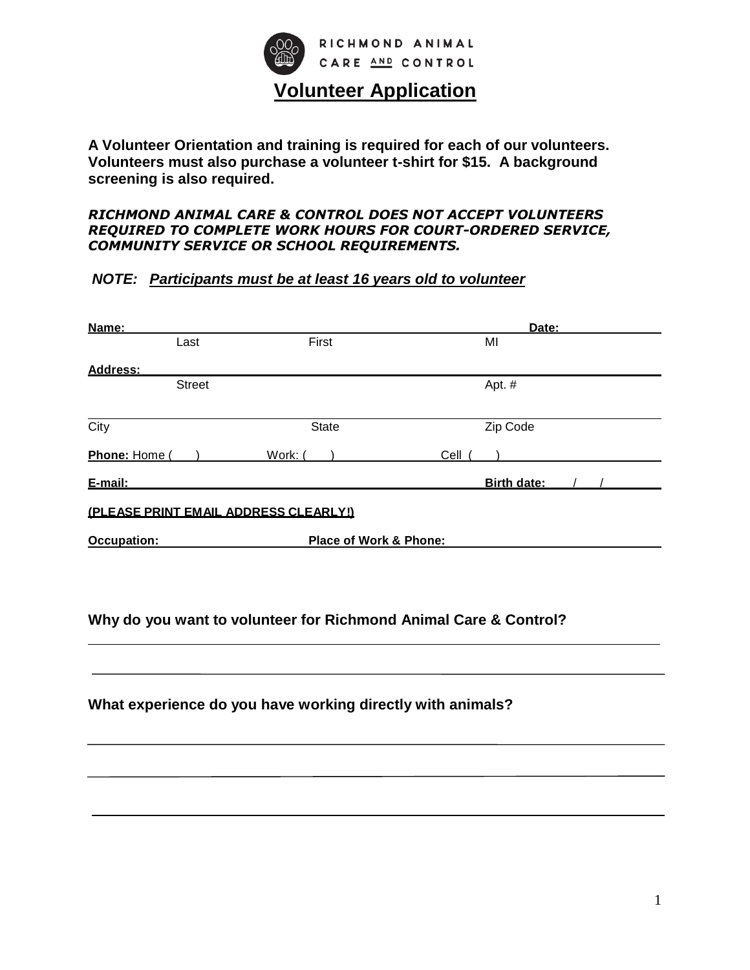

**A Volunteer Orientation and training is required for each of our volunteers. Volunteers must also purchase a volunteer t-shirt for \$15. A background screening is also required.**

#### *RICHMOND ANIMAL CARE & CONTROL DOES NOT ACCEPT VOLUNTEERS REQUIRED TO COMPLETE WORK HOURS FOR COURT-ORDERED SERVICE, COMMUNITY SERVICE OR SCHOOL REQUIREMENTS.*

## *NOTE: Participants must be at least 16 years old to volunteer*

| Name:                                 |                        | Date:       |  |
|---------------------------------------|------------------------|-------------|--|
| Last                                  | First                  | MI          |  |
| Address:                              |                        |             |  |
| <b>Street</b>                         |                        | Apt. #      |  |
| City                                  | <b>State</b>           | Zip Code    |  |
| Phone: Home                           | Work: (                | Cell        |  |
| E-mail:                               |                        | Birth date: |  |
| (PLEASE PRINT EMAIL ADDRESS CLEARLY!) |                        |             |  |
| <b>Occupation:</b>                    | Place of Work & Phone: |             |  |
|                                       |                        |             |  |
|                                       |                        |             |  |

## **Why do you want to volunteer for Richmond Animal Care & Control?**

**What experience do you have working directly with animals?**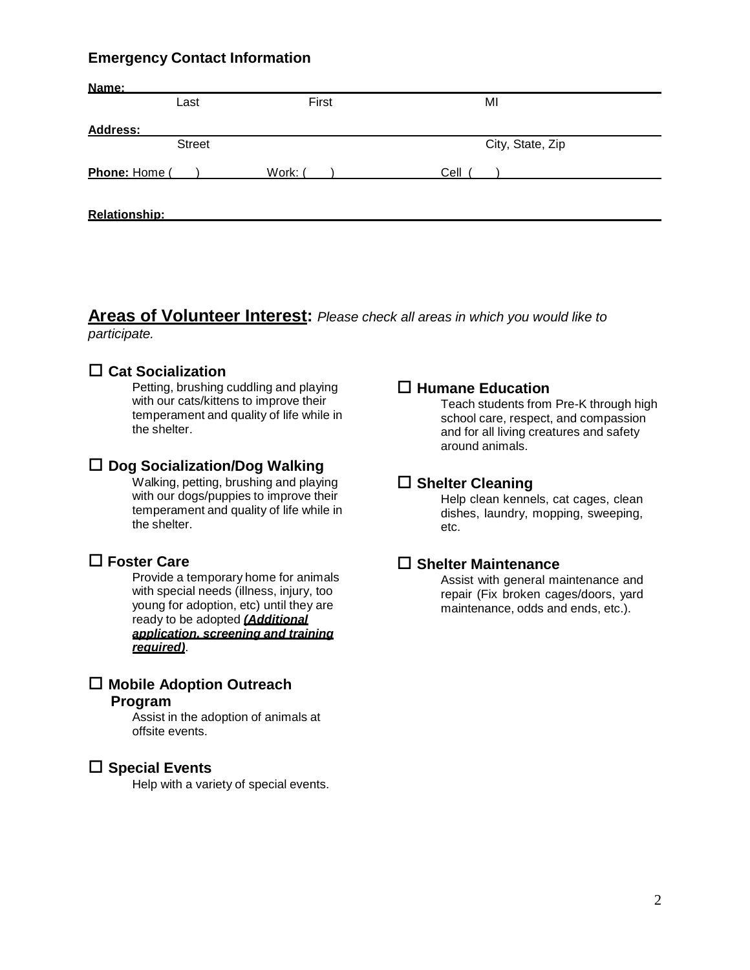## **Emergency Contact Information**

| Name:           | Last          | First   | MI               |  |
|-----------------|---------------|---------|------------------|--|
| <b>Address:</b> |               |         |                  |  |
|                 | <b>Street</b> |         | City, State, Zip |  |
| Phone: Home (   |               | Work: ( | Cell             |  |
| Relationship:   |               |         |                  |  |

**Areas of Volunteer Interest:** *Please check all areas in which you would like to participate.*

## **Cat Socialization**

Petting, brushing cuddling and playing with our cats/kittens to improve their temperament and quality of life while in the shelter.

#### **Dog Socialization/Dog Walking**

Walking, petting, brushing and playing with our dogs/puppies to improve their temperament and quality of life while in the shelter.

## **Foster Care**

Provide a temporary home for animals with special needs (illness, injury, too young for adoption, etc) until they are ready to be adopted *(Additional application, screening and training required)*.

## **Mobile Adoption Outreach**

## **Program**

Assist in the adoption of animals at offsite events.

#### **Special Events**

Help with a variety of special events.

#### **Humane Education**

Teach students from Pre-K through high school care, respect, and compassion and for all living creatures and safety around animals.

#### **Shelter Cleaning**

Help clean kennels, cat cages, clean dishes, laundry, mopping, sweeping, etc.

#### **Shelter Maintenance**

Assist with general maintenance and repair (Fix broken cages/doors, yard maintenance, odds and ends, etc.).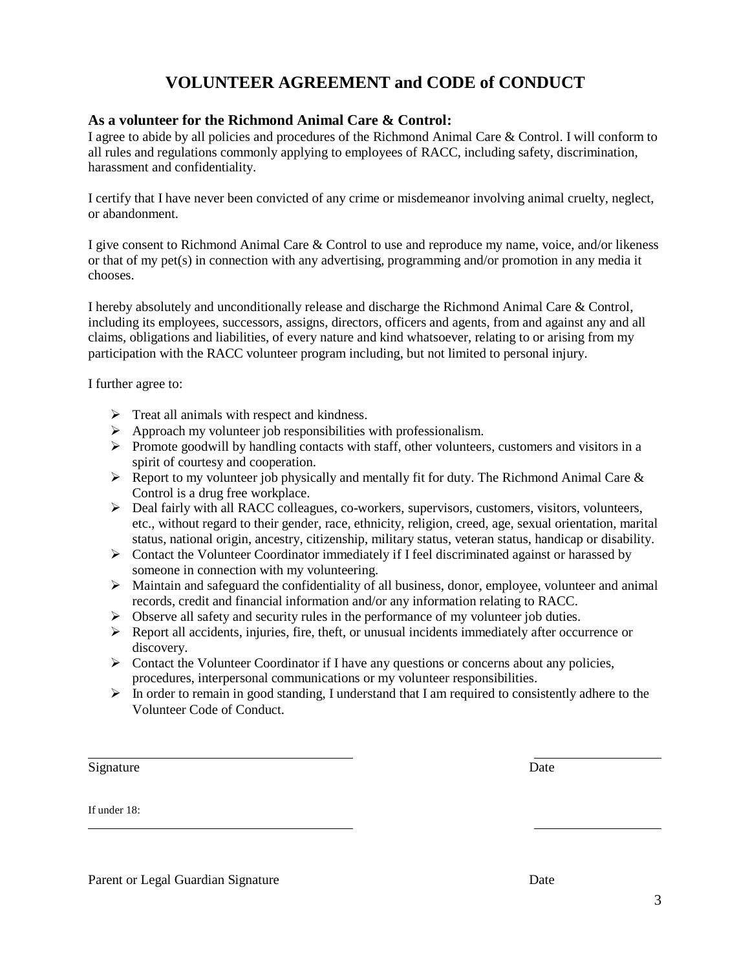## **VOLUNTEER AGREEMENT and CODE of CONDUCT**

#### **As a volunteer for the Richmond Animal Care & Control:**

I agree to abide by all policies and procedures of the Richmond Animal Care & Control. I will conform to all rules and regulations commonly applying to employees of RACC, including safety, discrimination, harassment and confidentiality.

I certify that I have never been convicted of any crime or misdemeanor involving animal cruelty, neglect, or abandonment.

I give consent to Richmond Animal Care & Control to use and reproduce my name, voice, and/or likeness or that of my pet(s) in connection with any advertising, programming and/or promotion in any media it chooses.

I hereby absolutely and unconditionally release and discharge the Richmond Animal Care & Control, including its employees, successors, assigns, directors, officers and agents, from and against any and all claims, obligations and liabilities, of every nature and kind whatsoever, relating to or arising from my participation with the RACC volunteer program including, but not limited to personal injury.

I further agree to:

- $\triangleright$  Treat all animals with respect and kindness.
- $\triangleright$  Approach my volunteer job responsibilities with professionalism.
- $\triangleright$  Promote goodwill by handling contacts with staff, other volunteers, customers and visitors in a spirit of courtesy and cooperation.
- $\triangleright$  Report to my volunteer job physically and mentally fit for duty. The Richmond Animal Care & Control is a drug free workplace.
- $\triangleright$  Deal fairly with all RACC colleagues, co-workers, supervisors, customers, visitors, volunteers, etc., without regard to their gender, race, ethnicity, religion, creed, age, sexual orientation, marital status, national origin, ancestry, citizenship, military status, veteran status, handicap or disability.
- $\triangleright$  Contact the Volunteer Coordinator immediately if I feel discriminated against or harassed by someone in connection with my volunteering.
- $\triangleright$  Maintain and safeguard the confidentiality of all business, donor, employee, volunteer and animal records, credit and financial information and/or any information relating to RACC.
- $\triangleright$  Observe all safety and security rules in the performance of my volunteer job duties.
- $\triangleright$  Report all accidents, injuries, fire, theft, or unusual incidents immediately after occurrence or discovery.
- $\triangleright$  Contact the Volunteer Coordinator if I have any questions or concerns about any policies, procedures, interpersonal communications or my volunteer responsibilities.
- $\triangleright$  In order to remain in good standing, I understand that I am required to consistently adhere to the Volunteer Code of Conduct.

Signature Date by Date Date of the United States of the United States of the United States of the United States of the United States of the United States of the United States of the United States of the United States of th

If under 18:

Parent or Legal Guardian Signature Date Date Date